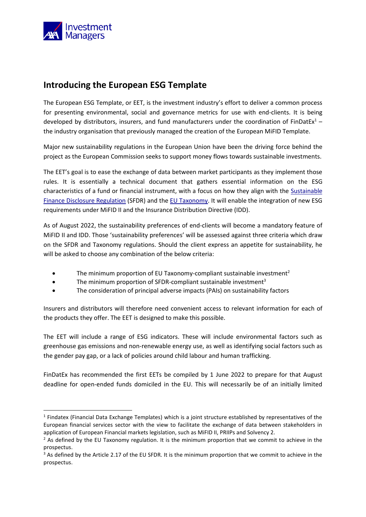

## **Introducing the European ESG Template**

The European ESG Template, or EET, is the investment industry's effort to deliver a common process for presenting environmental, social and governance metrics for use with end-clients. It is being developed by distributors, insurers, and fund manufacturers under the coordination of FinDatEx<sup>1</sup>  $$ the industry organisation that previously managed the creation of the European MiFID Template.

Major new sustainability regulations in the European Union have been the driving force behind the project as the European Commission seeks to support money flows towards sustainable investments.

The EET's goal is to ease the exchange of data between market participants as they implement those rules. It is essentially a technical document that gathers essential information on the ESG characteristics of a fund or financial instrument, with a focus on how they align with the [Sustainable](https://www.axa-im.com/what-sfdr)  [Finance Disclosure Regulation](https://www.axa-im.com/what-sfdr) (SFDR) and the [EU Taxonomy.](https://www.axa-im.co.uk/research-and-insights/investment-institute/sustainability/environmental/eu-taxonomy-six-key) It will enable the integration of new ESG requirements under MiFID II and the Insurance Distribution Directive (IDD).

As of August 2022, the sustainability preferences of end-clients will become a mandatory feature of MiFID II and IDD. Those 'sustainability preferences' will be assessed against three criteria which draw on the SFDR and Taxonomy regulations. Should the client express an appetite for sustainability, he will be asked to choose any combination of the below criteria:

- The minimum proportion of EU Taxonomy-compliant sustainable investment<sup>2</sup>
- The minimum proportion of SFDR-compliant sustainable investment<sup>3</sup>
- The consideration of principal adverse impacts (PAIs) on sustainability factors

Insurers and distributors will therefore need convenient access to relevant information for each of the products they offer. The EET is designed to make this possible.

The EET will include a range of ESG indicators. These will include environmental factors such as greenhouse gas emissions and non-renewable energy use, as well as identifying social factors such as the gender pay gap, or a lack of policies around child labour and human trafficking.

FinDatEx has recommended the first EETs be compiled by 1 June 2022 to prepare for that August deadline for open-ended funds domiciled in the EU. This will necessarily be of an initially limited

<sup>&</sup>lt;sup>1</sup> Findatex (Financial Data Exchange Templates) which is a joint structure established by representatives of the European financial services sector with the view to facilitate the exchange of data between stakeholders in application of European Financial markets legislation, such as MiFID II, PRIIPs and Solvency 2.

 $<sup>2</sup>$  As defined by the EU Taxonomy regulation. It is the minimum proportion that we commit to achieve in the</sup> prospectus.

<sup>&</sup>lt;sup>3</sup> As defined by the Article 2.17 of the EU SFDR. It is the minimum proportion that we commit to achieve in the prospectus.